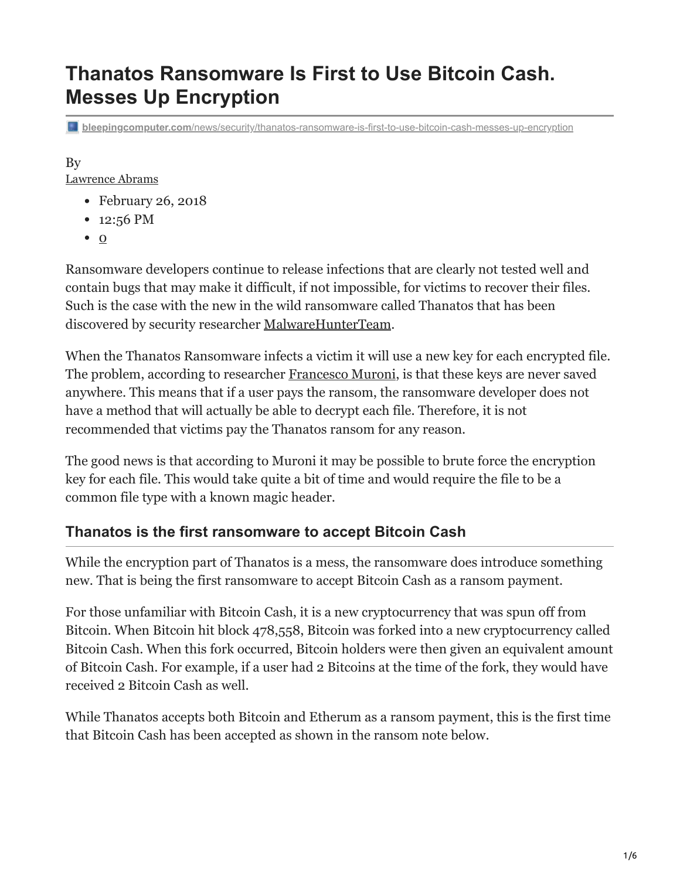# **Thanatos Ransomware Is First to Use Bitcoin Cash. Messes Up Encryption**

**bleepingcomputer.com**[/news/security/thanatos-ransomware-is-first-to-use-bitcoin-cash-messes-up-encryption](https://www.bleepingcomputer.com/news/security/thanatos-ransomware-is-first-to-use-bitcoin-cash-messes-up-encryption/)

## By

[Lawrence Abrams](https://www.bleepingcomputer.com/author/lawrence-abrams/)

- February 26, 2018
- 12:56 PM
- $\bullet$  [0](#page-5-0)

Ransomware developers continue to release infections that are clearly not tested well and contain bugs that may make it difficult, if not impossible, for victims to recover their files. Such is the case with the new in the wild ransomware called Thanatos that has been discovered by security researcher [MalwareHunterTeam](https://twitter.com/malwrhunterteam).

When the Thanatos Ransomware infects a victim it will use a new key for each encrypted file. The problem, according to researcher [Francesco Muroni](https://twitter.com/FraMauronz), is that these keys are never saved anywhere. This means that if a user pays the ransom, the ransomware developer does not have a method that will actually be able to decrypt each file. Therefore, it is not recommended that victims pay the Thanatos ransom for any reason.

The good news is that according to Muroni it may be possible to brute force the encryption key for each file. This would take quite a bit of time and would require the file to be a common file type with a known magic header.

### **Thanatos is the first ransomware to accept Bitcoin Cash**

While the encryption part of Thanatos is a mess, the ransomware does introduce something new. That is being the first ransomware to accept Bitcoin Cash as a ransom payment.

For those unfamiliar with Bitcoin Cash, it is a new cryptocurrency that was spun off from Bitcoin. When Bitcoin hit block 478,558, Bitcoin was forked into a new cryptocurrency called Bitcoin Cash. When this fork occurred, Bitcoin holders were then given an equivalent amount of Bitcoin Cash. For example, if a user had 2 Bitcoins at the time of the fork, they would have received 2 Bitcoin Cash as well.

While Thanatos accepts both Bitcoin and Etherum as a ransom payment, this is the first time that Bitcoin Cash has been accepted as shown in the ransom note below.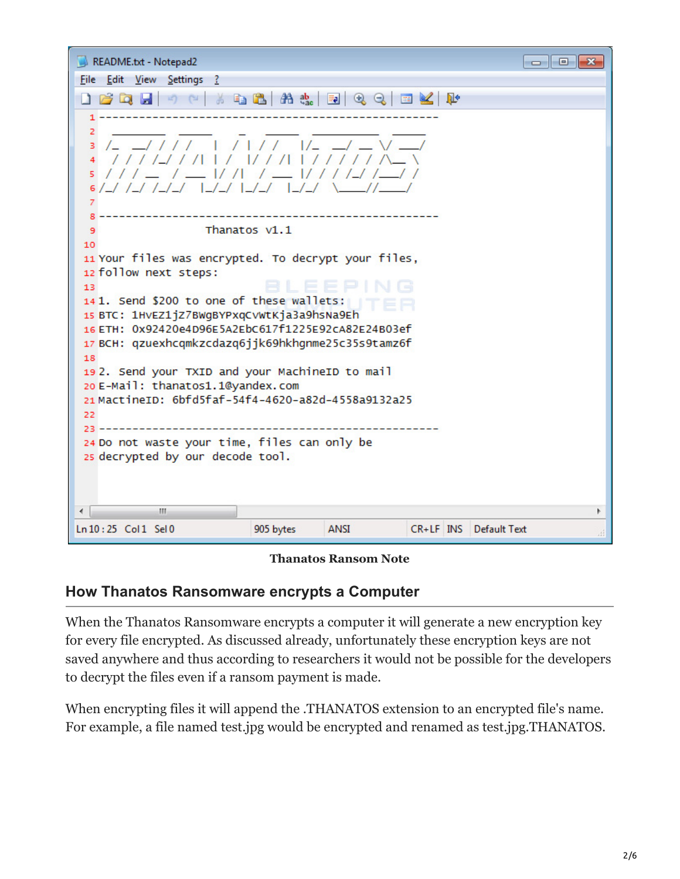| README.txt - Notepad2                                                                                                                                                                                                                                                                                                                                                                                                                                                                                                                                        |           |             |  |  |                        | -23<br>$\Box$ |
|--------------------------------------------------------------------------------------------------------------------------------------------------------------------------------------------------------------------------------------------------------------------------------------------------------------------------------------------------------------------------------------------------------------------------------------------------------------------------------------------------------------------------------------------------------------|-----------|-------------|--|--|------------------------|---------------|
| File Edit View Settings ?                                                                                                                                                                                                                                                                                                                                                                                                                                                                                                                                    |           |             |  |  |                        |               |
| $B$ Q $B$ $\rightarrow$ $C$ $\rightarrow$ Q $B$ $B$ $B$ $B$ $C$ Q<br>$\blacksquare$                                                                                                                                                                                                                                                                                                                                                                                                                                                                          |           |             |  |  |                        |               |
| 2<br>$1/_{-}$<br>з<br>$111 - 1$<br>1/7/7/7/7<br>5.<br>7                                                                                                                                                                                                                                                                                                                                                                                                                                                                                                      |           |             |  |  |                        |               |
| 9                                                                                                                                                                                                                                                                                                                                                                                                                                                                                                                                                            |           |             |  |  |                        |               |
| Thanatos v1.1<br>10<br>11 Your files was encrypted. To decrypt your files,<br>12 follow next steps:<br>13<br>141. Send \$200 to one of these wallets:<br>15 BTC: 1HVEZ1jZ7BWgBYPxqCvWtKja3a9hsNa9Eh<br>16 ETH: 0x92420e4D96E5A2EbC617f1225E92cA82E24B03ef<br>17 BCH: qzuexhcqmkzcdazq6jjk69hkhqnme25c35s9tamz6f<br>18<br>192. Send your TXID and your MachineID to mail<br>20 E-Mail: thanatos1.1@yandex.com<br>21 MactineID: 6bfd5faf-54f4-4620-a82d-4558a9132a25<br>22<br>24 Do not waste your time, files can only be<br>25 decrypted by our decode tool. |           |             |  |  |                        |               |
| m.                                                                                                                                                                                                                                                                                                                                                                                                                                                                                                                                                           |           |             |  |  |                        |               |
| Ln 10:25 Col 1 Sel 0                                                                                                                                                                                                                                                                                                                                                                                                                                                                                                                                         | 905 bytes | <b>ANSI</b> |  |  | CR+LF INS Default Text |               |

#### **Thanatos Ransom Note**

#### **How Thanatos Ransomware encrypts a Computer**

When the Thanatos Ransomware encrypts a computer it will generate a new encryption key for every file encrypted. As discussed already, unfortunately these encryption keys are not saved anywhere and thus according to researchers it would not be possible for the developers to decrypt the files even if a ransom payment is made.

When encrypting files it will append the .THANATOS extension to an encrypted file's name. For example, a file named test.jpg would be encrypted and renamed as test.jpg.THANATOS.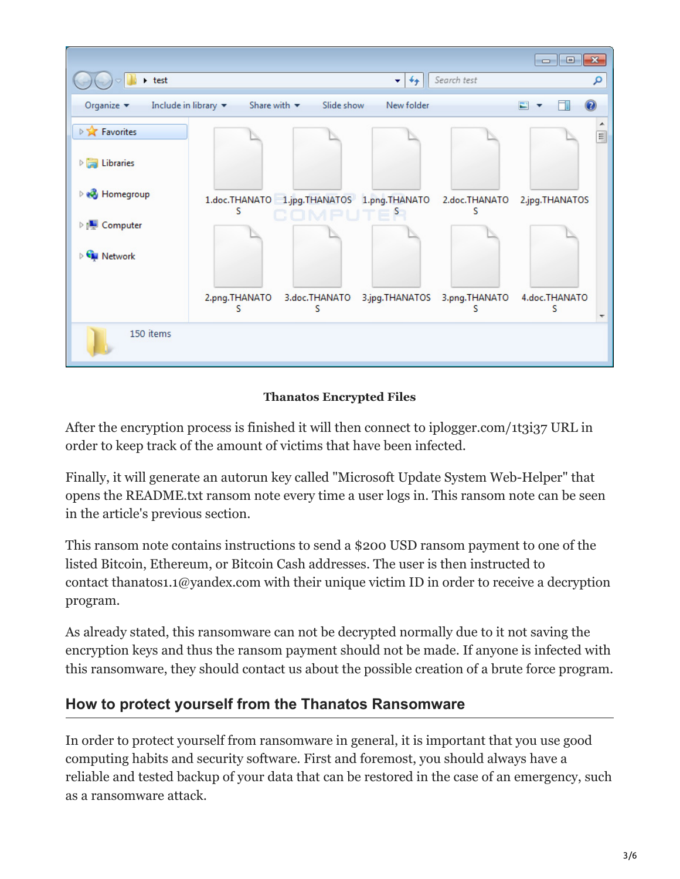

#### **Thanatos Encrypted Files**

After the encryption process is finished it will then connect to iplogger.com/1t3i37 URL in order to keep track of the amount of victims that have been infected.

Finally, it will generate an autorun key called "Microsoft Update System Web-Helper" that opens the README.txt ransom note every time a user logs in. This ransom note can be seen in the article's previous section.

This ransom note contains instructions to send a \$200 USD ransom payment to one of the listed Bitcoin, Ethereum, or Bitcoin Cash addresses. The user is then instructed to contact thanatos1.1@yandex.com with their unique victim ID in order to receive a decryption program.

As already stated, this ransomware can not be decrypted normally due to it not saving the encryption keys and thus the ransom payment should not be made. If anyone is infected with this ransomware, they should contact us about the possible creation of a brute force program.

### **How to protect yourself from the Thanatos Ransomware**

In order to protect yourself from ransomware in general, it is important that you use good computing habits and security software. First and foremost, you should always have a reliable and tested backup of your data that can be restored in the case of an emergency, such as a ransomware attack.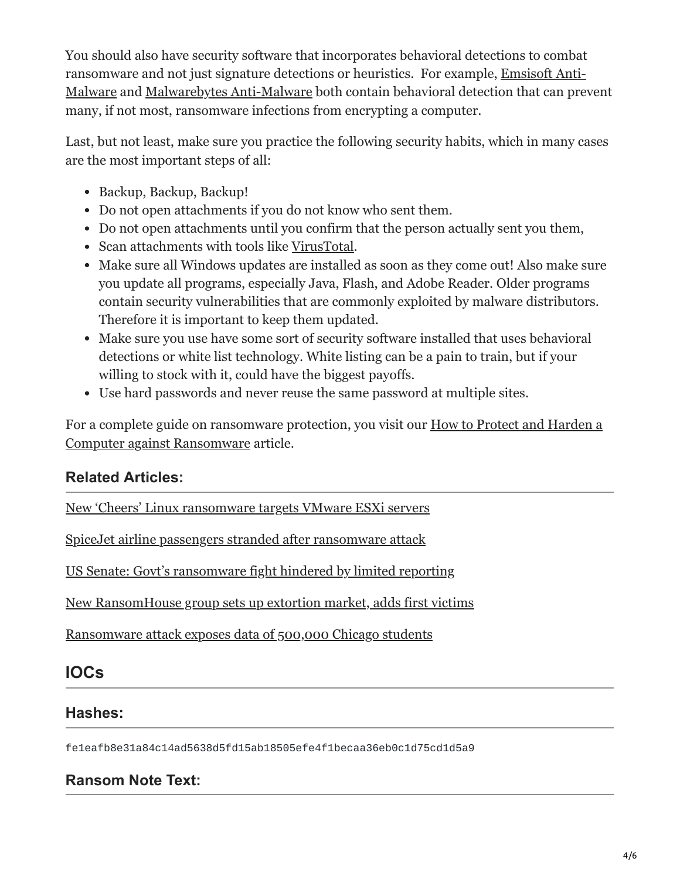You should also have security software that incorporates behavioral detections to combat ransomware and not just signature detections or heuristics. For example, Emsisoft Anti-[Malware and Malwarebytes Anti-Malware both contain behavioral detection that can pre](https://www.bleepingcomputer.com/download/emsisoft-anti-malware/)vent many, if not most, ransomware infections from encrypting a computer.

Last, but not least, make sure you practice the following security habits, which in many cases are the most important steps of all:

- Backup, Backup, Backup!
- Do not open attachments if you do not know who sent them.
- Do not open attachments until you confirm that the person actually sent you them,
- Scan attachments with tools like [VirusTotal.](https://www.virustotal.com/#/home/upload)
- Make sure all Windows updates are installed as soon as they come out! Also make sure you update all programs, especially Java, Flash, and Adobe Reader. Older programs contain security vulnerabilities that are commonly exploited by malware distributors. Therefore it is important to keep them updated.
- Make sure you use have some sort of security software installed that uses behavioral detections or white list technology. White listing can be a pain to train, but if your willing to stock with it, could have the biggest payoffs.
- Use hard passwords and never reuse the same password at multiple sites.

[For a complete guide on ransomware protection, you visit our How to Protect and Harden a](https://www.bleepingcomputer.com/news/security/how-to-protect-and-harden-a-computer-against-ransomware/) Computer against Ransomware article.

### **Related Articles:**

[New 'Cheers' Linux ransomware targets VMware ESXi servers](https://www.bleepingcomputer.com/news/security/new-cheers-linux-ransomware-targets-vmware-esxi-servers/)

[SpiceJet airline passengers stranded after ransomware attack](https://www.bleepingcomputer.com/news/security/spicejet-airline-passengers-stranded-after-ransomware-attack/)

[US Senate: Govt's ransomware fight hindered by limited reporting](https://www.bleepingcomputer.com/news/security/us-senate-govt-s-ransomware-fight-hindered-by-limited-reporting/)

[New RansomHouse group sets up extortion market, adds first victims](https://www.bleepingcomputer.com/news/security/new-ransomhouse-group-sets-up-extortion-market-adds-first-victims/)

[Ransomware attack exposes data of 500,000 Chicago students](https://www.bleepingcomputer.com/news/security/ransomware-attack-exposes-data-of-500-000-chicago-students/)

## **IOCs**

### **Hashes:**

fe1eafb8e31a84c14ad5638d5fd15ab18505efe4f1becaa36eb0c1d75cd1d5a9

### **Ransom Note Text:**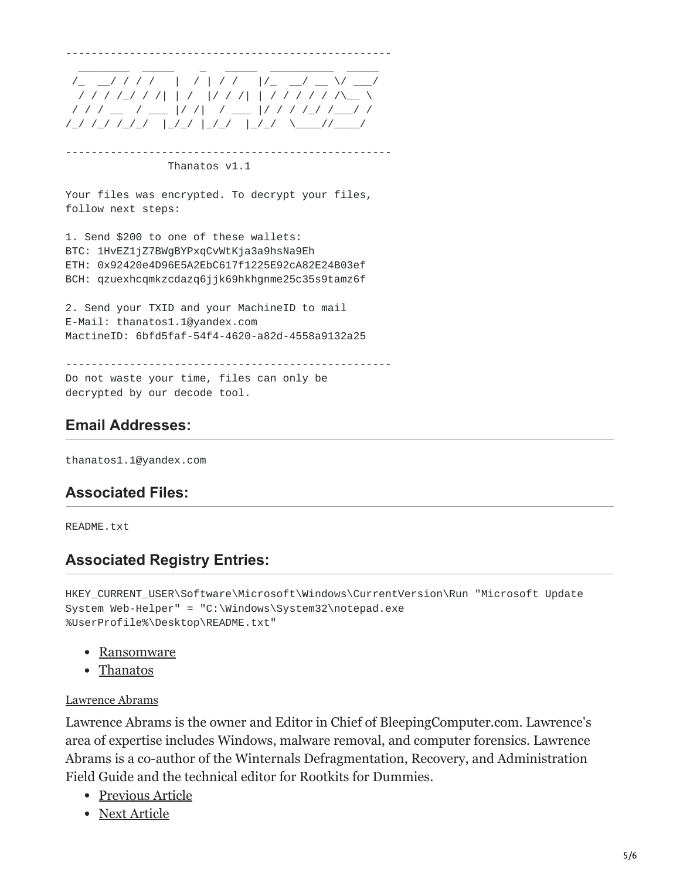

--------------------------------------------------- Thanatos v1.1

Your files was encrypted. To decrypt your files, follow next steps:

1. Send \$200 to one of these wallets: BTC: 1HvEZ1jZ7BWgBYPxqCvWtKja3a9hsNa9Eh ETH: 0x92420e4D96E5A2EbC617f1225E92cA82E24B03ef BCH: qzuexhcqmkzcdazq6jjk69hkhgnme25c35s9tamz6f

2. Send your TXID and your MachineID to mail E-Mail: thanatos1.1@yandex.com MactineID: 6bfd5faf-54f4-4620-a82d-4558a9132a25

--------------------------------------------------- Do not waste your time, files can only be decrypted by our decode tool.

#### **Email Addresses:**

thanatos1.1@yandex.com

#### **Associated Files:**

README.txt

### **Associated Registry Entries:**

HKEY\_CURRENT\_USER\Software\Microsoft\Windows\CurrentVersion\Run "Microsoft Update System Web-Helper" = "C:\Windows\System32\notepad.exe %UserProfile%\Desktop\README.txt"

- [Ransomware](https://www.bleepingcomputer.com/tag/ransomware/)
- [Thanatos](https://www.bleepingcomputer.com/tag/thanatos/)

#### [Lawrence Abrams](https://www.bleepingcomputer.com/author/lawrence-abrams/)

Lawrence Abrams is the owner and Editor in Chief of BleepingComputer.com. Lawrence's area of expertise includes Windows, malware removal, and computer forensics. Lawrence Abrams is a co-author of the Winternals Defragmentation, Recovery, and Administration Field Guide and the technical editor for Rootkits for Dummies.

- [Previous Article](https://www.bleepingcomputer.com/news/cryptocurrency/hacker-returns-26-million-worth-of-ethereum-back-to-hacked-company/)
- [Next Article](https://www.bleepingcomputer.com/news/security/the-rig-exploit-kit-has-forsaken-ransomware-for-coinminers/)